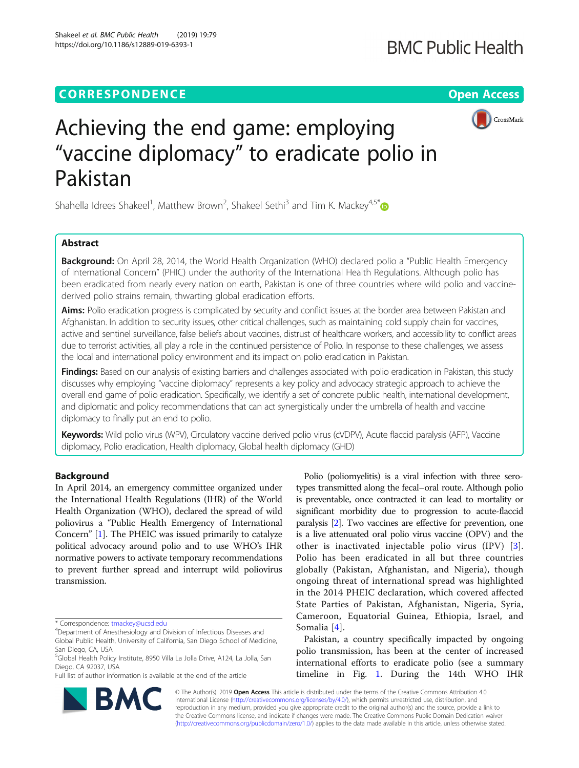## **CORRESPONDENCE CORRESPONDENCE** *CORRESPONDENCE*

Shakeel et al. BMC Public Health (2019) 19:79 https://doi.org/10.1186/s12889-019-6393-1



# Achieving the end game: employing "vaccine diplomacy" to eradicate polio in Pakistan

Shahella Idrees Shakeel<sup>1</sup>, Matthew Brown<sup>2</sup>, Shakeel Sethi<sup>3</sup> and Tim K. Mackey<sup>4,5[\\*](http://orcid.org/0000-0002-2191-7833)</sup>

## Abstract

Background: On April 28, 2014, the World Health Organization (WHO) declared polio a "Public Health Emergency of International Concern" (PHIC) under the authority of the International Health Regulations. Although polio has been eradicated from nearly every nation on earth, Pakistan is one of three countries where wild polio and vaccinederived polio strains remain, thwarting global eradication efforts.

Aims: Polio eradication progress is complicated by security and conflict issues at the border area between Pakistan and Afghanistan. In addition to security issues, other critical challenges, such as maintaining cold supply chain for vaccines, active and sentinel surveillance, false beliefs about vaccines, distrust of healthcare workers, and accessibility to conflict areas due to terrorist activities, all play a role in the continued persistence of Polio. In response to these challenges, we assess the local and international policy environment and its impact on polio eradication in Pakistan.

Findings: Based on our analysis of existing barriers and challenges associated with polio eradication in Pakistan, this study discusses why employing "vaccine diplomacy" represents a key policy and advocacy strategic approach to achieve the overall end game of polio eradication. Specifically, we identify a set of concrete public health, international development, and diplomatic and policy recommendations that can act synergistically under the umbrella of health and vaccine diplomacy to finally put an end to polio.

Keywords: Wild polio virus (WPV), Circulatory vaccine derived polio virus (cVDPV), Acute flaccid paralysis (AFP), Vaccine diplomacy, Polio eradication, Health diplomacy, Global health diplomacy (GHD)

## Background

In April 2014, an emergency committee organized under the International Health Regulations (IHR) of the World Health Organization (WHO), declared the spread of wild poliovirus a "Public Health Emergency of International Concern" [[1\]](#page-7-0). The PHEIC was issued primarily to catalyze political advocacy around polio and to use WHO's IHR normative powers to activate temporary recommendations to prevent further spread and interrupt wild poliovirus transmission.

Full list of author information is available at the end of the article



Polio (poliomyelitis) is a viral infection with three sero-

Pakistan, a country specifically impacted by ongoing polio transmission, has been at the center of increased international efforts to eradicate polio (see a summary timeline in Fig. [1](#page-1-0). During the 14th WHO IHR



© The Author(s). 2019 **Open Access** This article is distributed under the terms of the Creative Commons Attribution 4.0 International License [\(http://creativecommons.org/licenses/by/4.0/](http://creativecommons.org/licenses/by/4.0/)), which permits unrestricted use, distribution, and reproduction in any medium, provided you give appropriate credit to the original author(s) and the source, provide a link to the Creative Commons license, and indicate if changes were made. The Creative Commons Public Domain Dedication waiver [\(http://creativecommons.org/publicdomain/zero/1.0/](http://creativecommons.org/publicdomain/zero/1.0/)) applies to the data made available in this article, unless otherwise stated.

<sup>\*</sup> Correspondence: [tmackey@ucsd.edu](mailto:tmackey@ucsd.edu) <sup>4</sup>

Department of Anesthesiology and Division of Infectious Diseases and Global Public Health, University of California, San Diego School of Medicine, San Diego, CA, USA

<sup>5</sup> Global Health Policy Institute, 8950 Villa La Jolla Drive, A124, La Jolla, San Diego, CA 92037, USA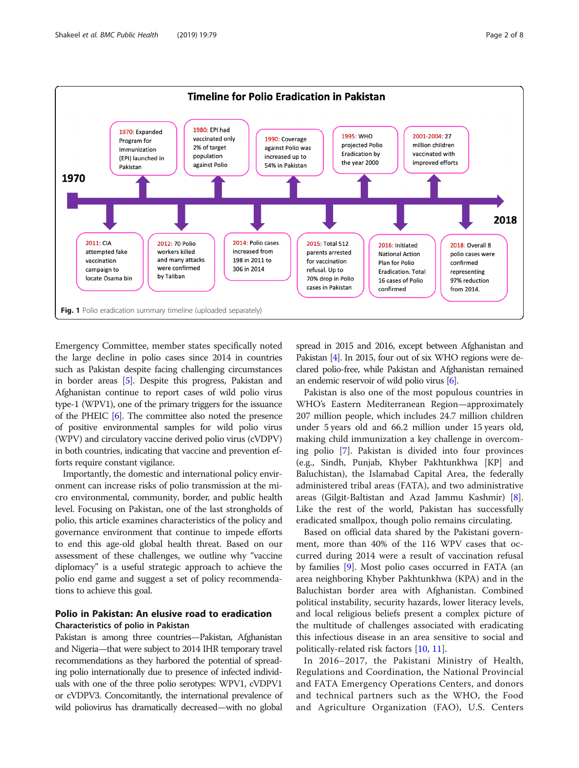<span id="page-1-0"></span>

Emergency Committee, member states specifically noted the large decline in polio cases since 2014 in countries such as Pakistan despite facing challenging circumstances in border areas [\[5\]](#page-7-0). Despite this progress, Pakistan and Afghanistan continue to report cases of wild polio virus type-1 (WPV1), one of the primary triggers for the issuance of the PHEIC [\[6\]](#page-7-0). The committee also noted the presence of positive environmental samples for wild polio virus (WPV) and circulatory vaccine derived polio virus (cVDPV) in both countries, indicating that vaccine and prevention efforts require constant vigilance.

Importantly, the domestic and international policy environment can increase risks of polio transmission at the micro environmental, community, border, and public health level. Focusing on Pakistan, one of the last strongholds of polio, this article examines characteristics of the policy and governance environment that continue to impede efforts to end this age-old global health threat. Based on our assessment of these challenges, we outline why "vaccine diplomacy" is a useful strategic approach to achieve the polio end game and suggest a set of policy recommendations to achieve this goal.

## Polio in Pakistan: An elusive road to eradication Characteristics of polio in Pakistan

Pakistan is among three countries—Pakistan, Afghanistan and Nigeria—that were subject to 2014 IHR temporary travel recommendations as they harbored the potential of spreading polio internationally due to presence of infected individuals with one of the three polio serotypes: WPV1, cVDPV1 or cVDPV3. Concomitantly, the international prevalence of wild poliovirus has dramatically decreased—with no global spread in 2015 and 2016, except between Afghanistan and Pakistan [\[4](#page-7-0)]. In 2015, four out of six WHO regions were declared polio-free, while Pakistan and Afghanistan remained an endemic reservoir of wild polio virus [\[6\]](#page-7-0).

Pakistan is also one of the most populous countries in WHO's Eastern Mediterranean Region—approximately 207 million people, which includes 24.7 million children under 5 years old and 66.2 million under 15 years old, making child immunization a key challenge in overcoming polio [\[7](#page-7-0)]. Pakistan is divided into four provinces (e.g., Sindh, Punjab, Khyber Pakhtunkhwa [KP] and Baluchistan), the Islamabad Capital Area, the federally administered tribal areas (FATA), and two administrative areas (Gilgit-Baltistan and Azad Jammu Kashmir) [\[8](#page-7-0)]. Like the rest of the world, Pakistan has successfully eradicated smallpox, though polio remains circulating.

Based on official data shared by the Pakistani government, more than 40% of the 116 WPV cases that occurred during 2014 were a result of vaccination refusal by families [[9\]](#page-7-0). Most polio cases occurred in FATA (an area neighboring Khyber Pakhtunkhwa (KPA) and in the Baluchistan border area with Afghanistan. Combined political instability, security hazards, lower literacy levels, and local religious beliefs present a complex picture of the multitude of challenges associated with eradicating this infectious disease in an area sensitive to social and politically-related risk factors [[10,](#page-7-0) [11\]](#page-7-0).

In 2016–2017, the Pakistani Ministry of Health, Regulations and Coordination, the National Provincial and FATA Emergency Operations Centers, and donors and technical partners such as the WHO, the Food and Agriculture Organization (FAO), U.S. Centers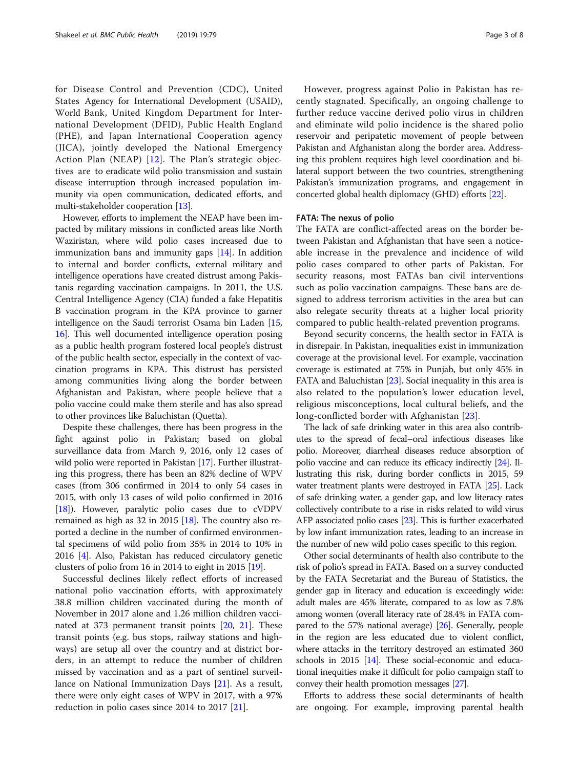for Disease Control and Prevention (CDC), United States Agency for International Development (USAID), World Bank, United Kingdom Department for International Development (DFID), Public Health England (PHE), and Japan International Cooperation agency (JICA), jointly developed the National Emergency Action Plan (NEAP) [[12](#page-7-0)]. The Plan's strategic objectives are to eradicate wild polio transmission and sustain disease interruption through increased population immunity via open communication, dedicated efforts, and multi-stakeholder cooperation [\[13](#page-7-0)].

However, efforts to implement the NEAP have been impacted by military missions in conflicted areas like North Waziristan, where wild polio cases increased due to immunization bans and immunity gaps [\[14\]](#page-7-0). In addition to internal and border conflicts, external military and intelligence operations have created distrust among Pakistanis regarding vaccination campaigns. In 2011, the U.S. Central Intelligence Agency (CIA) funded a fake Hepatitis B vaccination program in the KPA province to garner intelligence on the Saudi terrorist Osama bin Laden [[15](#page-7-0), [16](#page-7-0)]. This well documented intelligence operation posing as a public health program fostered local people's distrust of the public health sector, especially in the context of vaccination programs in KPA. This distrust has persisted among communities living along the border between Afghanistan and Pakistan, where people believe that a polio vaccine could make them sterile and has also spread to other provinces like Baluchistan (Quetta).

Despite these challenges, there has been progress in the fight against polio in Pakistan; based on global surveillance data from March 9, 2016, only 12 cases of wild polio were reported in Pakistan [[17](#page-7-0)]. Further illustrating this progress, there has been an 82% decline of WPV cases (from 306 confirmed in 2014 to only 54 cases in 2015, with only 13 cases of wild polio confirmed in 2016 [[18](#page-7-0)]). However, paralytic polio cases due to cVDPV remained as high as 32 in 2015 [[18](#page-7-0)]. The country also reported a decline in the number of confirmed environmental specimens of wild polio from 35% in 2014 to 10% in 2016 [[4](#page-7-0)]. Also, Pakistan has reduced circulatory genetic clusters of polio from 16 in 2014 to eight in 2015 [\[19\]](#page-7-0).

Successful declines likely reflect efforts of increased national polio vaccination efforts, with approximately 38.8 million children vaccinated during the month of November in 2017 alone and 1.26 million children vaccinated at 373 permanent transit points [\[20](#page-7-0), [21](#page-7-0)]. These transit points (e.g. bus stops, railway stations and highways) are setup all over the country and at district borders, in an attempt to reduce the number of children missed by vaccination and as a part of sentinel surveillance on National Immunization Days [[21](#page-7-0)]. As a result, there were only eight cases of WPV in 2017, with a 97% reduction in polio cases since 2014 to 2017 [\[21\]](#page-7-0).

However, progress against Polio in Pakistan has recently stagnated. Specifically, an ongoing challenge to further reduce vaccine derived polio virus in children and eliminate wild polio incidence is the shared polio reservoir and peripatetic movement of people between Pakistan and Afghanistan along the border area. Addressing this problem requires high level coordination and bilateral support between the two countries, strengthening Pakistan's immunization programs, and engagement in concerted global health diplomacy (GHD) efforts [\[22\]](#page-7-0).

## FATA: The nexus of polio

The FATA are conflict-affected areas on the border between Pakistan and Afghanistan that have seen a noticeable increase in the prevalence and incidence of wild polio cases compared to other parts of Pakistan. For security reasons, most FATAs ban civil interventions such as polio vaccination campaigns. These bans are designed to address terrorism activities in the area but can also relegate security threats at a higher local priority compared to public health-related prevention programs.

Beyond security concerns, the health sector in FATA is in disrepair. In Pakistan, inequalities exist in immunization coverage at the provisional level. For example, vaccination coverage is estimated at 75% in Punjab, but only 45% in FATA and Baluchistan [\[23\]](#page-7-0). Social inequality in this area is also related to the population's lower education level, religious misconceptions, local cultural beliefs, and the long-conflicted border with Afghanistan [[23\]](#page-7-0).

The lack of safe drinking water in this area also contributes to the spread of fecal–oral infectious diseases like polio. Moreover, diarrheal diseases reduce absorption of polio vaccine and can reduce its efficacy indirectly [\[24](#page-7-0)]. Illustrating this risk, during border conflicts in 2015, 59 water treatment plants were destroyed in FATA [\[25](#page-7-0)]. Lack of safe drinking water, a gender gap, and low literacy rates collectively contribute to a rise in risks related to wild virus AFP associated polio cases [[23\]](#page-7-0). This is further exacerbated by low infant immunization rates, leading to an increase in the number of new wild polio cases specific to this region.

Other social determinants of health also contribute to the risk of polio's spread in FATA. Based on a survey conducted by the FATA Secretariat and the Bureau of Statistics, the gender gap in literacy and education is exceedingly wide: adult males are 45% literate, compared to as low as 7.8% among women (overall literacy rate of 28.4% in FATA compared to the 57% national average) [[26](#page-7-0)]. Generally, people in the region are less educated due to violent conflict, where attacks in the territory destroyed an estimated 360 schools in 2015 [\[14\]](#page-7-0). These social-economic and educational inequities make it difficult for polio campaign staff to convey their health promotion messages [\[27](#page-7-0)].

Efforts to address these social determinants of health are ongoing. For example, improving parental health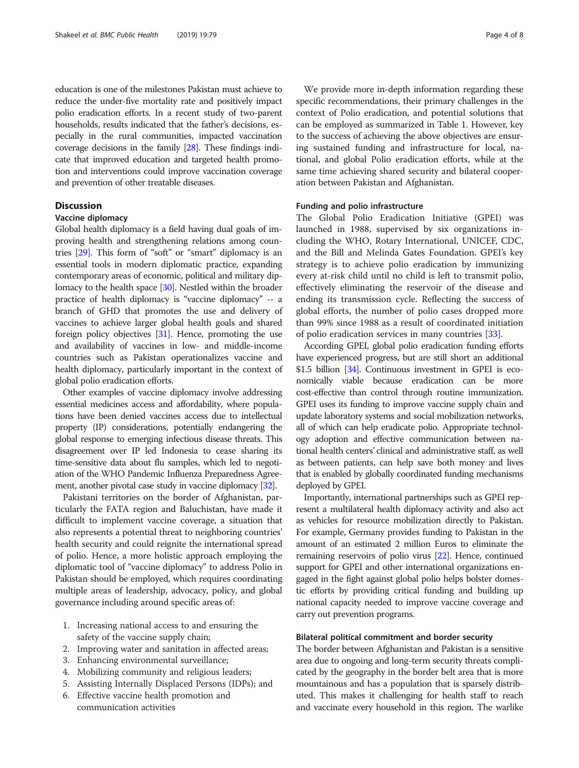education is one of the milestones Pakistan must achieve to reduce the under-five mortality rate and positively impact polio eradication efforts. In a recent study of two-parent households, results indicated that the father's decisions, especially in the rural communities, impacted vaccination coverage decisions in the family [\[28](#page-7-0)]. These findings indicate that improved education and targeted health promotion and interventions could improve vaccination coverage and prevention of other treatable diseases.

## **Discussion**

## Vaccine diplomacy

Global health diplomacy is a field having dual goals of improving health and strengthening relations among countries [[29](#page-7-0)]. This form of "soft" or "smart" diplomacy is an essential tools in modern diplomatic practice, expanding contemporary areas of economic, political and military diplomacy to the health space [\[30\]](#page-7-0). Nestled within the broader practice of health diplomacy is "vaccine diplomacy" -- a branch of GHD that promotes the use and delivery of vaccines to achieve larger global health goals and shared foreign policy objectives [\[31](#page-7-0)]. Hence, promoting the use and availability of vaccines in low- and middle-income countries such as Pakistan operationalizes vaccine and health diplomacy, particularly important in the context of global polio eradication efforts.

Other examples of vaccine diplomacy involve addressing essential medicines access and affordability, where populations have been denied vaccines access due to intellectual property (IP) considerations, potentially endangering the global response to emerging infectious disease threats. This disagreement over IP led Indonesia to cease sharing its time-sensitive data about flu samples, which led to negotiation of the WHO Pandemic Influenza Preparedness Agreement, another pivotal case study in vaccine diplomacy [[32](#page-7-0)].

Pakistani territories on the border of Afghanistan, particularly the FATA region and Baluchistan, have made it difficult to implement vaccine coverage, a situation that also represents a potential threat to neighboring countries' health security and could reignite the international spread of polio. Hence, a more holistic approach employing the diplomatic tool of "vaccine diplomacy" to address Polio in Pakistan should be employed, which requires coordinating multiple areas of leadership, advocacy, policy, and global governance including around specific areas of:

- 1. Increasing national access to and ensuring the safety of the vaccine supply chain;
- 2. Improving water and sanitation in affected areas;
- 3. Enhancing environmental surveillance;
- 4. Mobilizing community and religious leaders;
- 5. Assisting Internally Displaced Persons (IDPs); and
- 6. Effective vaccine health promotion and communication activities

We provide more in-depth information regarding these specific recommendations, their primary challenges in the context of Polio eradication, and potential solutions that can be employed as summarized in Table [1.](#page-4-0) However, key to the success of achieving the above objectives are ensuring sustained funding and infrastructure for local, national, and global Polio eradication efforts, while at the same time achieving shared security and bilateral cooperation between Pakistan and Afghanistan.

## Funding and polio infrastructure

The Global Polio Eradication Initiative (GPEI) was launched in 1988, supervised by six organizations including the WHO, Rotary International, UNICEF, CDC, and the Bill and Melinda Gates Foundation. GPEI's key strategy is to achieve polio eradication by immunizing every at-risk child until no child is left to transmit polio, effectively eliminating the reservoir of the disease and ending its transmission cycle. Reflecting the success of global efforts, the number of polio cases dropped more than 99% since 1988 as a result of coordinated initiation of polio eradication services in many countries [\[33](#page-7-0)].

According GPEI, global polio eradication funding efforts have experienced progress, but are still short an additional \$1.5 billion [\[34\]](#page-7-0). Continuous investment in GPEI is economically viable because eradication can be more cost-effective than control through routine immunization. GPEI uses its funding to improve vaccine supply chain and update laboratory systems and social mobilization networks, all of which can help eradicate polio. Appropriate technology adoption and effective communication between national health centers' clinical and administrative staff, as well as between patients, can help save both money and lives that is enabled by globally coordinated funding mechanisms deployed by GPEI.

Importantly, international partnerships such as GPEI represent a multilateral health diplomacy activity and also act as vehicles for resource mobilization directly to Pakistan. For example, Germany provides funding to Pakistan in the amount of an estimated 2 million Euros to eliminate the remaining reservoirs of polio virus [\[22](#page-7-0)]. Hence, continued support for GPEI and other international organizations engaged in the fight against global polio helps bolster domestic efforts by providing critical funding and building up national capacity needed to improve vaccine coverage and carry out prevention programs.

## Bilateral political commitment and border security

The border between Afghanistan and Pakistan is a sensitive area due to ongoing and long-term security threats complicated by the geography in the border belt area that is more mountainous and has a population that is sparsely distributed. This makes it challenging for health staff to reach and vaccinate every household in this region. The warlike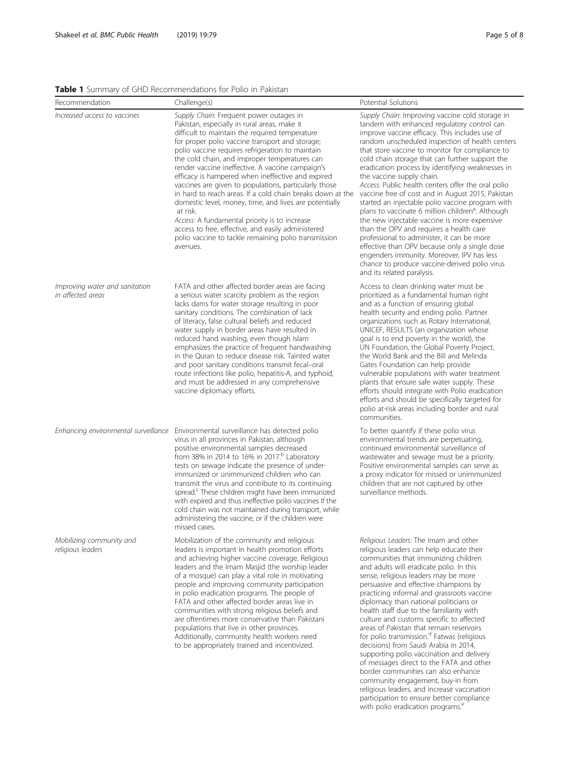<span id="page-4-0"></span>

| Recommendation                                      | Challenge(s)                                                                                                                                                                                                                                                                                                                                                                                                                                                                                                                                                                                                                                                                                                                                                                       | Potential Solutions                                                                                                                                                                                                                                                                                                                                                                                                                                                                                                                                                                                                                                                                                                                                                                                                                                                                                                                               |
|-----------------------------------------------------|------------------------------------------------------------------------------------------------------------------------------------------------------------------------------------------------------------------------------------------------------------------------------------------------------------------------------------------------------------------------------------------------------------------------------------------------------------------------------------------------------------------------------------------------------------------------------------------------------------------------------------------------------------------------------------------------------------------------------------------------------------------------------------|---------------------------------------------------------------------------------------------------------------------------------------------------------------------------------------------------------------------------------------------------------------------------------------------------------------------------------------------------------------------------------------------------------------------------------------------------------------------------------------------------------------------------------------------------------------------------------------------------------------------------------------------------------------------------------------------------------------------------------------------------------------------------------------------------------------------------------------------------------------------------------------------------------------------------------------------------|
| Increased access to vaccines                        | Supply Chain: Frequent power outages in<br>Pakistan, especially in rural areas, make it<br>difficult to maintain the required temperature<br>for proper polio vaccine transport and storage;<br>polio vaccine requires refrigeration to maintain<br>the cold chain, and improper temperatures can<br>render vaccine ineffective. A vaccine campaign's<br>efficacy is hampered when ineffective and expired<br>vaccines are given to populations, particularly those<br>in hard to reach areas. If a cold chain breaks down at the<br>domestic level, money, time, and lives are potentially<br>at risk.<br>Access: A fundamental priority is to increase<br>access to free, effective, and easily administered<br>polio vaccine to tackle remaining polio transmission<br>avenues. | Supply Chain: Improving vaccine cold storage in<br>tandem with enhanced regulatory control can<br>improve vaccine efficacy. This includes use of<br>random unscheduled inspection of health centers<br>that store vaccine to monitor for compliance to<br>cold chain storage that can further support the<br>eradication process by identifying weaknesses in<br>the vaccine supply chain.<br>Access: Public health centers offer the oral polio<br>vaccine free of cost and in August 2015, Pakistan<br>started an injectable polio vaccine program with<br>plans to vaccinate 6 million children <sup>d</sup> . Although<br>the new injectable vaccine is more expensive<br>than the OPV and requires a health care<br>professional to administer, it can be more<br>effective than OPV because only a single dose<br>engenders immunity. Moreover, IPV has less<br>chance to produce vaccine-derived polio virus<br>and its related paralysis. |
| Improving water and sanitation<br>in affected areas | FATA and other affected border areas are facing<br>a serious water scarcity problem as the region<br>lacks dams for water storage resulting in poor<br>sanitary conditions. The combination of lack<br>of literacy, false cultural beliefs and reduced<br>water supply in border areas have resulted in<br>reduced hand washing, even though Islam<br>emphasizes the practice of frequent handwashing<br>in the Quran to reduce disease risk. Tainted water<br>and poor sanitary conditions transmit fecal-oral<br>route infections like polio, hepatitis-A, and typhoid,<br>and must be addressed in any comprehensive<br>vaccine diplomacy efforts.                                                                                                                              | Access to clean drinking water must be<br>prioritized as a fundamental human right<br>and as a function of ensuring global<br>health security and ending polio. Partner<br>organizations such as Rotary International,<br>UNICEF, RESULTS (an organization whose<br>goal is to end poverty in the world), the<br>UN Foundation, the Global Poverty Project,<br>the World Bank and the Bill and Melinda<br>Gates Foundation can help provide<br>vulnerable populations with water treatment<br>plants that ensure safe water supply. These<br>efforts should integrate with Polio eradication<br>efforts and should be specifically targeted for<br>polio at-risk areas including border and rural<br>communities.                                                                                                                                                                                                                                 |
|                                                     | Enhancing environmental surveillance Environmental surveillance has detected polio<br>virus in all provinces in Pakistan, although<br>positive environmental samples decreased<br>from 38% in 2014 to 16% in 2017. <sup>b</sup> Laboratory<br>tests on sewage indicate the presence of under-<br>immunized or unimmunized children who can<br>transmit the virus and contribute to its continuing<br>spread. <sup>c</sup> These children might have been immunized<br>with expired and thus ineffective polio vaccines if the<br>cold chain was not maintained during transport, while<br>administering the vaccine, or if the children were<br>missed cases.                                                                                                                      | To better quantify if these polio virus<br>environmental trends are perpetuating,<br>continued environmental surveillance of<br>wastewater and sewage must be a priority.<br>Positive environmental samples can serve as<br>a proxy indicator for missed or unimmunized<br>children that are not captured by other<br>surveillance methods.                                                                                                                                                                                                                                                                                                                                                                                                                                                                                                                                                                                                       |
| Mobilizing community and<br>religious leaders       | Mobilization of the community and religious<br>leaders is important in health promotion efforts<br>and achieving higher vaccine coverage. Religious<br>leaders and the Imam Masjid (the worship leader<br>of a mosque) can play a vital role in motivating<br>people and improving community participation<br>in polio eradication programs. The people of<br>FATA and other affected border areas live in<br>communities with strong religious beliefs and<br>are oftentimes more conservative than Pakistani<br>populations that live in other provinces.<br>Additionally, community health workers need<br>to be appropriately trained and incentivized.                                                                                                                        | Religious Leaders: The Imam and other<br>religious leaders can help educate their<br>communities that immunizing children<br>and adults will eradicate polio. In this<br>sense, religious leaders may be more<br>persuasive and effective champions by<br>practicing informal and grassroots vaccine<br>diplomacy than national politicians or<br>health staff due to the familiarity with<br>culture and customs specific to affected<br>areas of Pakistan that remain reservoirs<br>for polio transmission. <sup>d</sup> Fatwas (religious<br>decisions) from Saudi Arabia in 2014,<br>supporting polio vaccination and delivery<br>of messages direct to the FATA and other<br>border communities can also enhance<br>community engagement, buy-in from                                                                                                                                                                                        |

religious leaders, and increase vaccination participation to ensure better compliance with polio eradication programs.<sup>e</sup>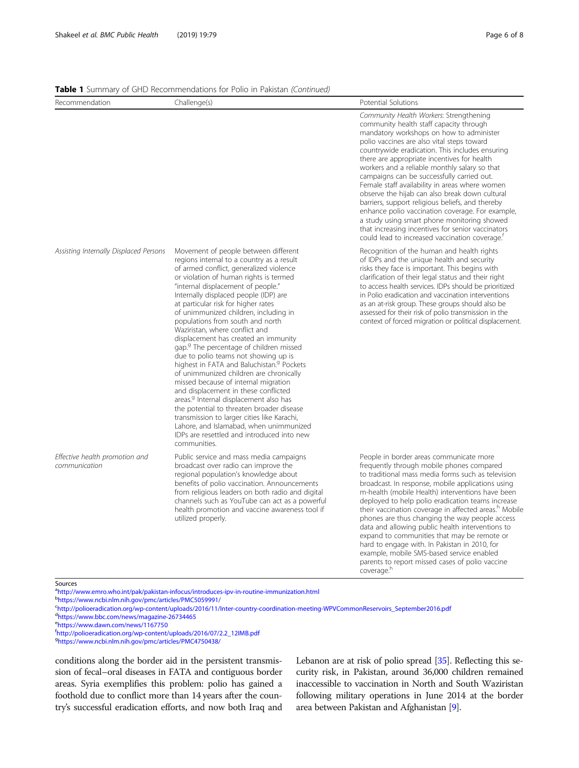## Table 1 Summary of GHD Recommendations for Polio in Pakistan (Continued)

| Recommendation                                  | Challenge(s)                                                                                                                                                                                                                                                                                                                                                                                                                                                                                                                                                                                                                                                                                                                                                                                                                                                                                                                                                                                      | Potential Solutions                                                                                                                                                                                                                                                                                                                                                                                                                                                                                                                                                                                                                                                                                                                                         |
|-------------------------------------------------|---------------------------------------------------------------------------------------------------------------------------------------------------------------------------------------------------------------------------------------------------------------------------------------------------------------------------------------------------------------------------------------------------------------------------------------------------------------------------------------------------------------------------------------------------------------------------------------------------------------------------------------------------------------------------------------------------------------------------------------------------------------------------------------------------------------------------------------------------------------------------------------------------------------------------------------------------------------------------------------------------|-------------------------------------------------------------------------------------------------------------------------------------------------------------------------------------------------------------------------------------------------------------------------------------------------------------------------------------------------------------------------------------------------------------------------------------------------------------------------------------------------------------------------------------------------------------------------------------------------------------------------------------------------------------------------------------------------------------------------------------------------------------|
|                                                 |                                                                                                                                                                                                                                                                                                                                                                                                                                                                                                                                                                                                                                                                                                                                                                                                                                                                                                                                                                                                   | Community Health Workers: Strengthening<br>community health staff capacity through<br>mandatory workshops on how to administer<br>polio vaccines are also vital steps toward<br>countrywide eradication. This includes ensuring<br>there are appropriate incentives for health<br>workers and a reliable monthly salary so that<br>campaigns can be successfully carried out.<br>Female staff availability in areas where women<br>observe the hijab can also break down cultural<br>barriers, support religious beliefs, and thereby<br>enhance polio vaccination coverage. For example,<br>a study using smart phone monitoring showed<br>that increasing incentives for senior vaccinators<br>could lead to increased vaccination coverage. <sup>†</sup> |
| Assisting Internally Displaced Persons          | Movement of people between different<br>regions internal to a country as a result<br>of armed conflict, generalized violence<br>or violation of human rights is termed<br>"internal displacement of people."<br>Internally displaced people (IDP) are<br>at particular risk for higher rates<br>of unimmunized children, including in<br>populations from south and north<br>Waziristan, where conflict and<br>displacement has created an immunity<br>gap. <sup>9</sup> The percentage of children missed<br>due to polio teams not showing up is<br>highest in FATA and Baluchistan. <sup>9</sup> Pockets<br>of unimmunized children are chronically<br>missed because of internal migration<br>and displacement in these conflicted<br>areas. <sup>9</sup> Internal displacement also has<br>the potential to threaten broader disease<br>transmission to larger cities like Karachi,<br>Lahore, and Islamabad, when unimmunized<br>IDPs are resettled and introduced into new<br>communities. | Recognition of the human and health rights<br>of IDPs and the unique health and security<br>risks they face is important. This begins with<br>clarification of their legal status and their right<br>to access health services. IDPs should be prioritized<br>in Polio eradication and vaccination interventions<br>as an at-risk group. These groups should also be<br>assessed for their risk of polio transmission in the<br>context of forced migration or political displacement.                                                                                                                                                                                                                                                                      |
| Effective health promotion and<br>communication | Public service and mass media campaigns<br>broadcast over radio can improve the<br>regional population's knowledge about<br>benefits of polio vaccination. Announcements<br>from religious leaders on both radio and digital<br>channels such as YouTube can act as a powerful<br>health promotion and vaccine awareness tool if<br>utilized properly.                                                                                                                                                                                                                                                                                                                                                                                                                                                                                                                                                                                                                                            | People in border areas communicate more<br>frequently through mobile phones compared<br>to traditional mass media forms such as television<br>broadcast. In response, mobile applications using<br>m-health (mobile Health) interventions have been<br>deployed to help polio eradication teams increase<br>their vaccination coverage in affected areas. <sup>h</sup> Mobile<br>phones are thus changing the way people access<br>data and allowing public health interventions to<br>expand to communities that may be remote or<br>hard to engage with. In Pakistan in 2010, for<br>example, mobile SMS-based service enabled<br>parents to report missed cases of polio vaccine<br>coverage. <sup>h</sup>                                               |

## Sources

a<http://www.emro.who.int/pak/pakistan-infocus/introduces-ipv-in-routine-immunization.html>

b<https://www.ncbi.nlm.nih.gov/pmc/articles/PMC5059991/>

d <https://www.bbc.com/news/magazine-26734465>

e <https://www.dawn.com/news/1167750>

f [http://polioeradication.org/wp-content/uploads/2016/07/2.2\\_12IMB.pdf](http://polioeradication.org/wp-content/uploads/2016/07/2.2_12IMB.pdf)

g <https://www.ncbi.nlm.nih.gov/pmc/articles/PMC4750438/>

conditions along the border aid in the persistent transmission of fecal–oral diseases in FATA and contiguous border areas. Syria exemplifies this problem: polio has gained a foothold due to conflict more than 14 years after the country's successful eradication efforts, and now both Iraq and Lebanon are at risk of polio spread [\[35\]](#page-7-0). Reflecting this security risk, in Pakistan, around 36,000 children remained inaccessible to vaccination in North and South Waziristan following military operations in June 2014 at the border area between Pakistan and Afghanistan [\[9\]](#page-7-0).

c [http://polioeradication.org/wp-content/uploads/2016/11/Inter-country-coordination-meeting-WPVCommonReservoirs\\_September2016.pdf](http://polioeradication.org/wp-content/uploads/2016/11/Inter-country-coordination-meeting-WPVCommonReservoirs_September2016.pdf)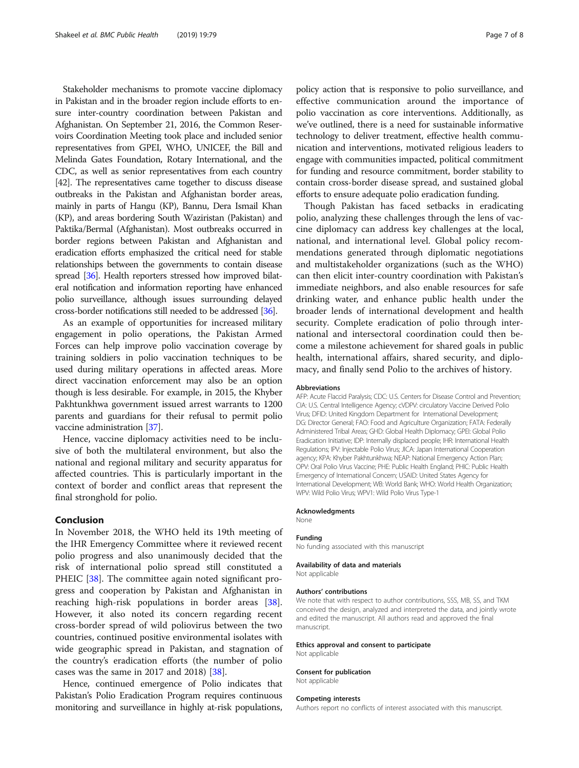Stakeholder mechanisms to promote vaccine diplomacy in Pakistan and in the broader region include efforts to ensure inter-country coordination between Pakistan and Afghanistan. On September 21, 2016, the Common Reservoirs Coordination Meeting took place and included senior representatives from GPEI, WHO, UNICEF, the Bill and Melinda Gates Foundation, Rotary International, and the CDC, as well as senior representatives from each country [42]. The representatives came together to discuss disease outbreaks in the Pakistan and Afghanistan border areas, mainly in parts of Hangu (KP), Bannu, Dera Ismail Khan (KP), and areas bordering South Waziristan (Pakistan) and Paktika/Bermal (Afghanistan). Most outbreaks occurred in border regions between Pakistan and Afghanistan and eradication efforts emphasized the critical need for stable relationships between the governments to contain disease spread [[36](#page-7-0)]. Health reporters stressed how improved bilateral notification and information reporting have enhanced polio surveillance, although issues surrounding delayed cross-border notifications still needed to be addressed [\[36](#page-7-0)].

As an example of opportunities for increased military engagement in polio operations, the Pakistan Armed Forces can help improve polio vaccination coverage by training soldiers in polio vaccination techniques to be used during military operations in affected areas. More direct vaccination enforcement may also be an option though is less desirable. For example, in 2015, the Khyber Pakhtunkhwa government issued arrest warrants to 1200 parents and guardians for their refusal to permit polio vaccine administration [[37](#page-7-0)].

Hence, vaccine diplomacy activities need to be inclusive of both the multilateral environment, but also the national and regional military and security apparatus for affected countries. This is particularly important in the context of border and conflict areas that represent the final stronghold for polio.

## Conclusion

In November 2018, the WHO held its 19th meeting of the IHR Emergency Committee where it reviewed recent polio progress and also unanimously decided that the risk of international polio spread still constituted a PHEIC [[38](#page-7-0)]. The committee again noted significant progress and cooperation by Pakistan and Afghanistan in reaching high-risk populations in border areas [\[38](#page-7-0)]. However, it also noted its concern regarding recent cross-border spread of wild poliovirus between the two countries, continued positive environmental isolates with wide geographic spread in Pakistan, and stagnation of the country's eradication efforts (the number of polio cases was the same in 2017 and 2018) [\[38](#page-7-0)].

Hence, continued emergence of Polio indicates that Pakistan's Polio Eradication Program requires continuous monitoring and surveillance in highly at-risk populations, policy action that is responsive to polio surveillance, and effective communication around the importance of polio vaccination as core interventions. Additionally, as we've outlined, there is a need for sustainable informative technology to deliver treatment, effective health communication and interventions, motivated religious leaders to engage with communities impacted, political commitment for funding and resource commitment, border stability to contain cross-border disease spread, and sustained global efforts to ensure adequate polio eradication funding.

Though Pakistan has faced setbacks in eradicating polio, analyzing these challenges through the lens of vaccine diplomacy can address key challenges at the local, national, and international level. Global policy recommendations generated through diplomatic negotiations and multistakeholder organizations (such as the WHO) can then elicit inter-country coordination with Pakistan's immediate neighbors, and also enable resources for safe drinking water, and enhance public health under the broader lends of international development and health security. Complete eradication of polio through international and intersectoral coordination could then become a milestone achievement for shared goals in public health, international affairs, shared security, and diplomacy, and finally send Polio to the archives of history.

#### Abbreviations

AFP: Acute Flaccid Paralysis; CDC: U.S. Centers for Disease Control and Prevention; CIA: U.S. Central Intelligence Agency; cVDPV: circulatory Vaccine Derived Polio Virus; DFID: United Kingdom Department for International Development; DG: Director General; FAO: Food and Agriculture Organization; FATA: Federally Administered Tribal Areas; GHD: Global Health Diplomacy; GPEI: Global Polio Eradication Initiative; IDP: Internally displaced people; IHR: International Health Regulations; IPV: Injectable Polio Virus; JICA: Japan International Cooperation agency; KPA: Khyber Pakhtunkhwa; NEAP: National Emergency Action Plan; OPV: Oral Polio Virus Vaccine; PHE: Public Health England; PHIC: Public Health Emergency of International Concern; USAID: United States Agency for International Development; WB: World Bank; WHO: World Health Organization; WPV: Wild Polio Virus; WPV1: Wild Polio Virus Type-1

#### Acknowledgments

None

#### Funding

No funding associated with this manuscript

#### Availability of data and materials

Not applicable

#### Authors' contributions

We note that with respect to author contributions, SSS, MB, SS, and TKM conceived the design, analyzed and interpreted the data, and jointly wrote and edited the manuscript. All authors read and approved the final manuscript.

#### Ethics approval and consent to participate

Not applicable

## Consent for publication

Not applicable

#### Competing interests

Authors report no conflicts of interest associated with this manuscript.